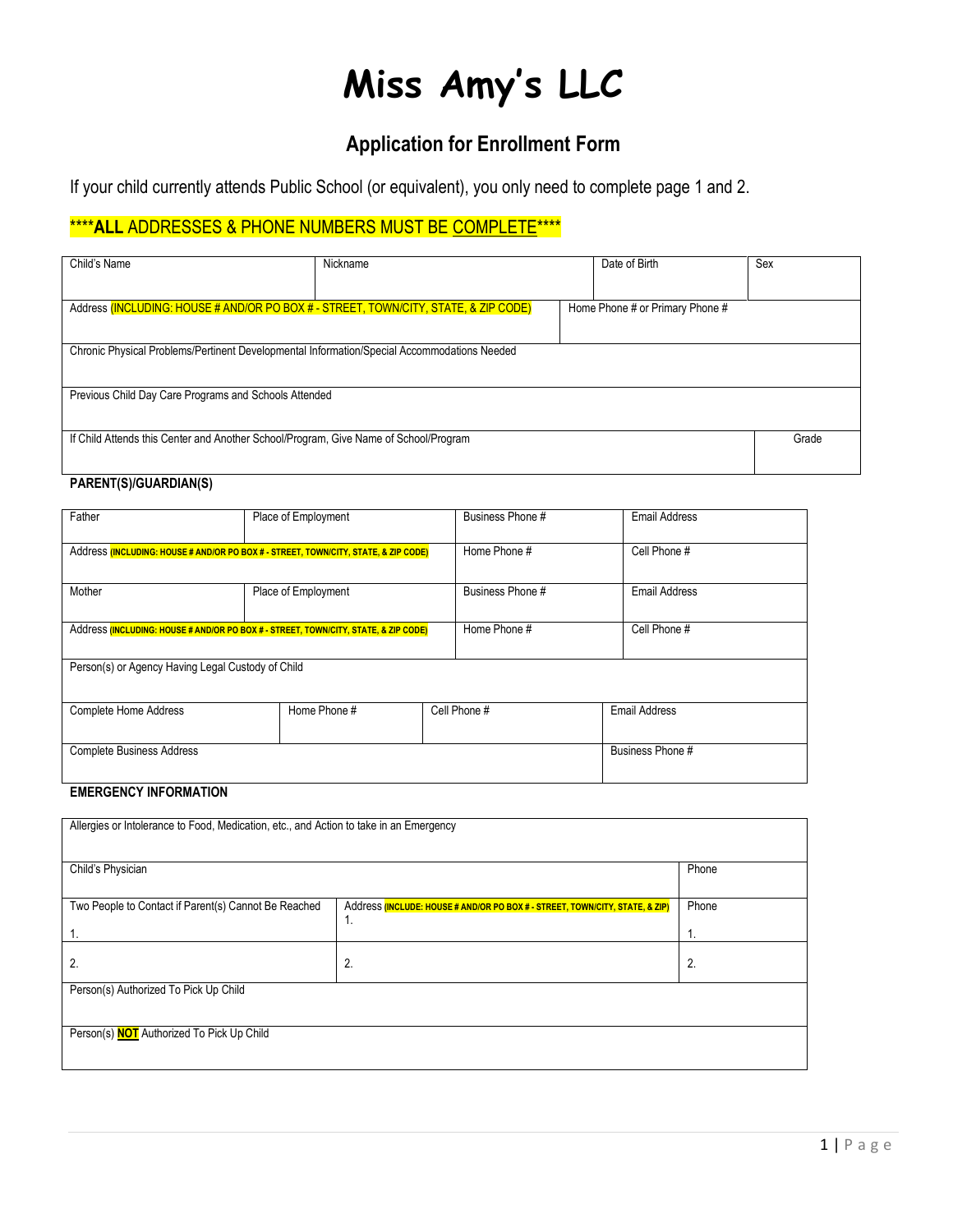# **Miss Amy's LLC**

# **Application for Enrollment Form**

If your child currently attends Public School (or equivalent), you only need to complete page 1 and 2.

## \*\*\*\***ALL** ADDRESSES & PHONE NUMBERS MUST BE COMPLETE\*\*\*\*

| Child's Name                                                                                | Nickname | Date of Birth                   |  | Sex   |
|---------------------------------------------------------------------------------------------|----------|---------------------------------|--|-------|
|                                                                                             |          |                                 |  |       |
| Address (INCLUDING: HOUSE # AND/OR PO BOX # - STREET, TOWN/CITY, STATE, & ZIP CODE)         |          | Home Phone # or Primary Phone # |  |       |
|                                                                                             |          |                                 |  |       |
| Chronic Physical Problems/Pertinent Developmental Information/Special Accommodations Needed |          |                                 |  |       |
|                                                                                             |          |                                 |  |       |
| Previous Child Day Care Programs and Schools Attended                                       |          |                                 |  |       |
|                                                                                             |          |                                 |  |       |
| If Child Attends this Center and Another School/Program, Give Name of School/Program        |          |                                 |  | Grade |
|                                                                                             |          |                                 |  |       |

## **PARENT(S)/GUARDIAN(S)**

| Father                                                                              | Place of Employment |              | Business Phone # |              | <b>Email Address</b> |  |
|-------------------------------------------------------------------------------------|---------------------|--------------|------------------|--------------|----------------------|--|
| Address (INCLUDING: HOUSE # AND/OR PO BOX # - STREET, TOWN/CITY, STATE, & ZIP CODE) |                     | Home Phone # |                  | Cell Phone # |                      |  |
| Mother                                                                              | Place of Employment |              | Business Phone # |              | Email Address        |  |
| Address (INCLUDING: HOUSE # AND/OR PO BOX # - STREET, TOWN/CITY, STATE, & ZIP CODE) |                     | Home Phone # |                  | Cell Phone # |                      |  |
| Person(s) or Agency Having Legal Custody of Child                                   |                     |              |                  |              |                      |  |
| <b>Complete Home Address</b>                                                        | Home Phone #        |              | Cell Phone #     |              | <b>Email Address</b> |  |
| <b>Complete Business Address</b>                                                    |                     |              |                  |              | Business Phone #     |  |

#### **EMERGENCY INFORMATION**

| Allergies or Intolerance to Food, Medication, etc., and Action to take in an Emergency |                                                                              |       |  |  |  |
|----------------------------------------------------------------------------------------|------------------------------------------------------------------------------|-------|--|--|--|
|                                                                                        |                                                                              |       |  |  |  |
|                                                                                        |                                                                              |       |  |  |  |
| Child's Physician                                                                      |                                                                              | Phone |  |  |  |
|                                                                                        |                                                                              |       |  |  |  |
| Two People to Contact if Parent(s) Cannot Be Reached                                   | Address (INCLUDE: HOUSE # AND/OR PO BOX # - STREET, TOWN/CITY, STATE, & ZIP) | Phone |  |  |  |
|                                                                                        | 1.                                                                           |       |  |  |  |
|                                                                                        |                                                                              | 1.    |  |  |  |
|                                                                                        |                                                                              |       |  |  |  |
| 2.                                                                                     | 2.                                                                           | 2.    |  |  |  |
| Person(s) Authorized To Pick Up Child                                                  |                                                                              |       |  |  |  |
|                                                                                        |                                                                              |       |  |  |  |
|                                                                                        |                                                                              |       |  |  |  |
| Person(s) <b>NOT</b> Authorized To Pick Up Child                                       |                                                                              |       |  |  |  |
|                                                                                        |                                                                              |       |  |  |  |
|                                                                                        |                                                                              |       |  |  |  |
|                                                                                        |                                                                              |       |  |  |  |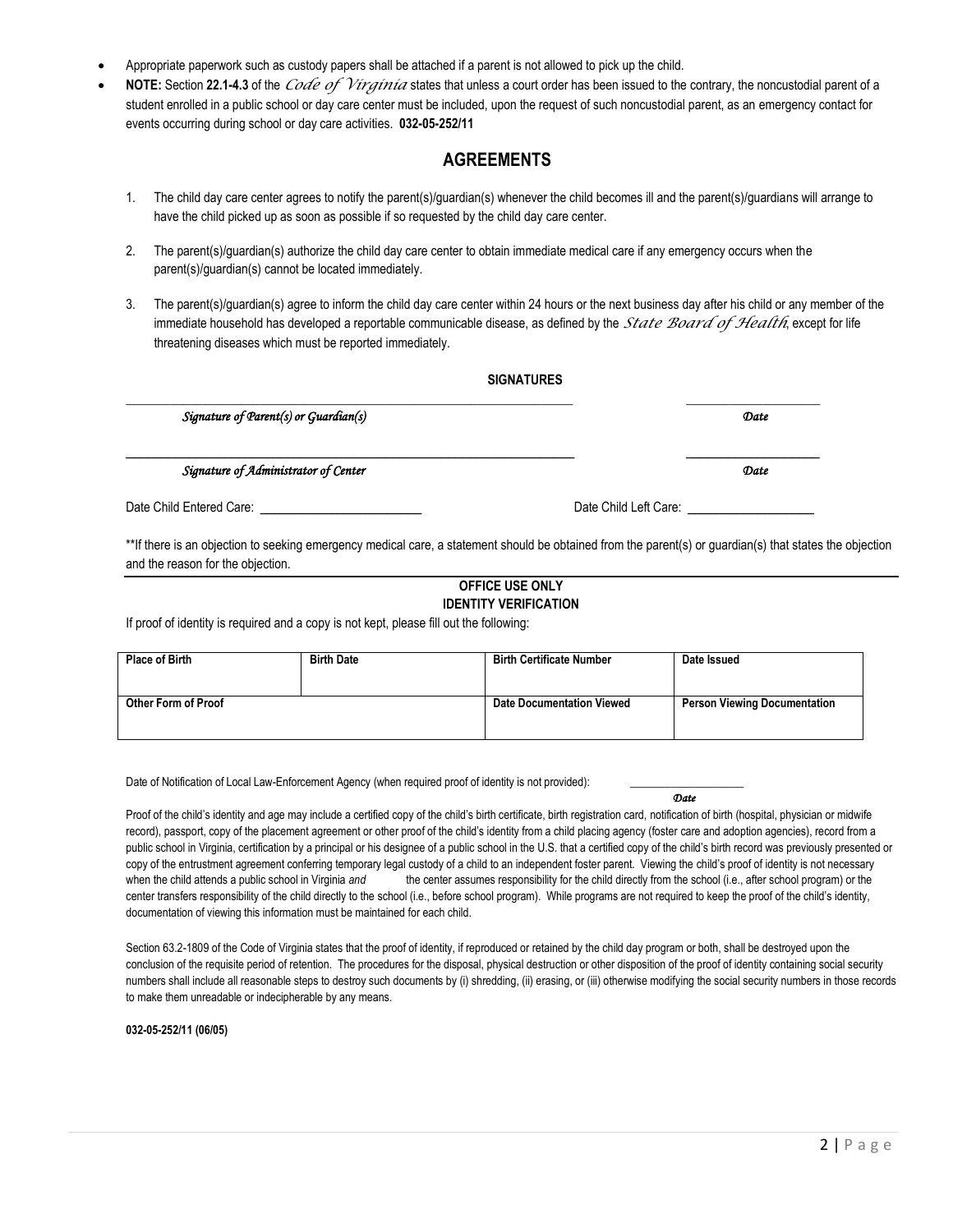- Appropriate paperwork such as custody papers shall be attached if a parent is not allowed to pick up the child.
- **NOTE:** Section **22.1-4.3** of the *Code of Virginia* states that unless a court order has been issued to the contrary, the noncustodial parent of a student enrolled in a public school or day care center must be included, upon the request of such noncustodial parent, as an emergency contact for events occurring during school or day care activities. **032-05-252/11**

### **AGREEMENTS**

- 1. The child day care center agrees to notify the parent(s)/guardian(s) whenever the child becomes ill and the parent(s)/guardians will arrange to have the child picked up as soon as possible if so requested by the child day care center.
- 2. The parent(s)/guardian(s) authorize the child day care center to obtain immediate medical care if any emergency occurs when the parent(s)/guardian(s) cannot be located immediately.
- 3. The parent(s)/guardian(s) agree to inform the child day care center within 24 hours or the next business day after his child or any member of the immediate household has developed a reportable communicable disease, as defined by the *State Board of Health*, except for life threatening diseases which must be reported immediately.

|                                                    | <b>SIGNATURES</b> |                       |      |  |
|----------------------------------------------------|-------------------|-----------------------|------|--|
| Signature of $\mathcal{P}$ arent(s) or Guardian(s) |                   |                       | Date |  |
| Signature of Administrator of Center               |                   |                       | Date |  |
| Date Child Entered Care: _________________________ |                   | Date Child Left Care: |      |  |

\*\*If there is an objection to seeking emergency medical care, a statement should be obtained from the parent(s) or guardian(s) that states the objection and the reason for the objection.

#### **OFFICE USE ONLY IDENTITY VERIFICATION**

If proof of identity is required and a copy is not kept, please fill out the following:

| <b>Place of Birth</b> | <b>Birth Date</b> | <b>Birth Certificate Number</b>  | Date Issued                         |
|-----------------------|-------------------|----------------------------------|-------------------------------------|
| Other Form of Proof   |                   | <b>Date Documentation Viewed</b> | <b>Person Viewing Documentation</b> |

Date of Notification of Local Law-Enforcement Agency (when required proof of identity is not provided):

*Date*

Proof of the child's identity and age may include a certified copy of the child's birth certificate, birth registration card, notification of birth (hospital, physician or midwife record), passport, copy of the placement agreement or other proof of the child's identity from a child placing agency (foster care and adoption agencies), record from a public school in Virginia, certification by a principal or his designee of a public school in the U.S. that a certified copy of the child's birth record was previously presented or copy of the entrustment agreement conferring temporary legal custody of a child to an independent foster parent. Viewing the child's proof of identity is not necessary when the child attends a public school in Virginia and the center assumes responsibility for the child directly from the school (i.e., after school program) or the center transfers responsibility of the child directly to the school (i.e., before school program). While programs are not required to keep the proof of the child's identity, documentation of viewing this information must be maintained for each child.

Section 63.2-1809 of the Code of Virginia states that the proof of identity, if reproduced or retained by the child day program or both, shall be destroyed upon the conclusion of the requisite period of retention. The procedures for the disposal, physical destruction or other disposition of the proof of identity containing social security numbers shall include all reasonable steps to destroy such documents by (i) shredding, (ii) erasing, or (iii) otherwise modifying the social security numbers in those records to make them unreadable or indecipherable by any means.

**032-05-252/11 (06/05)**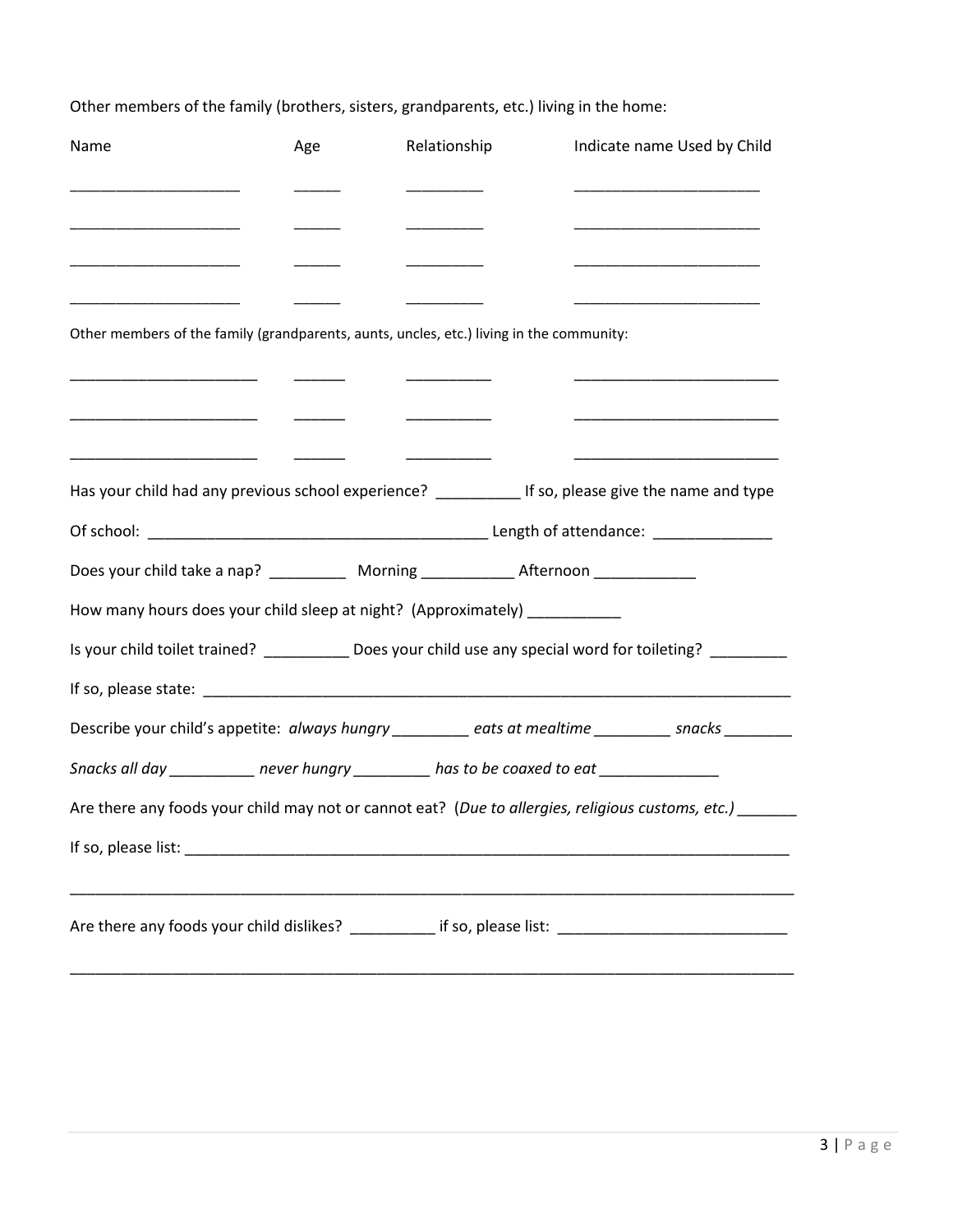| Name                                                                                                                 | Age | Relationship | Indicate name Used by Child                                                                                           |
|----------------------------------------------------------------------------------------------------------------------|-----|--------------|-----------------------------------------------------------------------------------------------------------------------|
| _____________________________                                                                                        |     |              | <u> 1989 - Johann John Stone, mars et al. (</u>                                                                       |
|                                                                                                                      |     |              | the control of the control of the control of the control of the control of the control of                             |
| <u> 1980 - Johann John Harry Harry Harry Harry Harry Harry Harry Harry Harry Harry Harry Harry Harry Harry Harry</u> |     |              | the control of the control of the control of the control of the control of the control of                             |
|                                                                                                                      |     |              |                                                                                                                       |
| Other members of the family (grandparents, aunts, uncles, etc.) living in the community:                             |     |              |                                                                                                                       |
|                                                                                                                      |     |              | <u> 1989 - Johann John Stein, markin film yn y system yn y system yn y system yn y system yn y system yn y system</u> |
|                                                                                                                      |     |              |                                                                                                                       |
| Has your child had any previous school experience? ___________ If so, please give the name and type                  |     |              |                                                                                                                       |
|                                                                                                                      |     |              |                                                                                                                       |
| Does your child take a nap? _____________ Morning ______________ Afternoon ____________                              |     |              |                                                                                                                       |
| How many hours does your child sleep at night? (Approximately) ___________                                           |     |              |                                                                                                                       |
|                                                                                                                      |     |              | Is your child toilet trained? ___________ Does your child use any special word for toileting? _________               |
|                                                                                                                      |     |              |                                                                                                                       |
|                                                                                                                      |     |              | Describe your child's appetite: always hungry ________ eats at mealtime ________ snacks _______                       |
| Snacks all day ___________ never hungry __________ has to be coaxed to eat ________________                          |     |              |                                                                                                                       |
|                                                                                                                      |     |              | Are there any foods your child may not or cannot eat? (Due to allergies, religious customs, etc.) ______              |
|                                                                                                                      |     |              |                                                                                                                       |
|                                                                                                                      |     |              |                                                                                                                       |
|                                                                                                                      |     |              | Are there any foods your child dislikes? ___________ if so, please list: ___________________________                  |
|                                                                                                                      |     |              |                                                                                                                       |